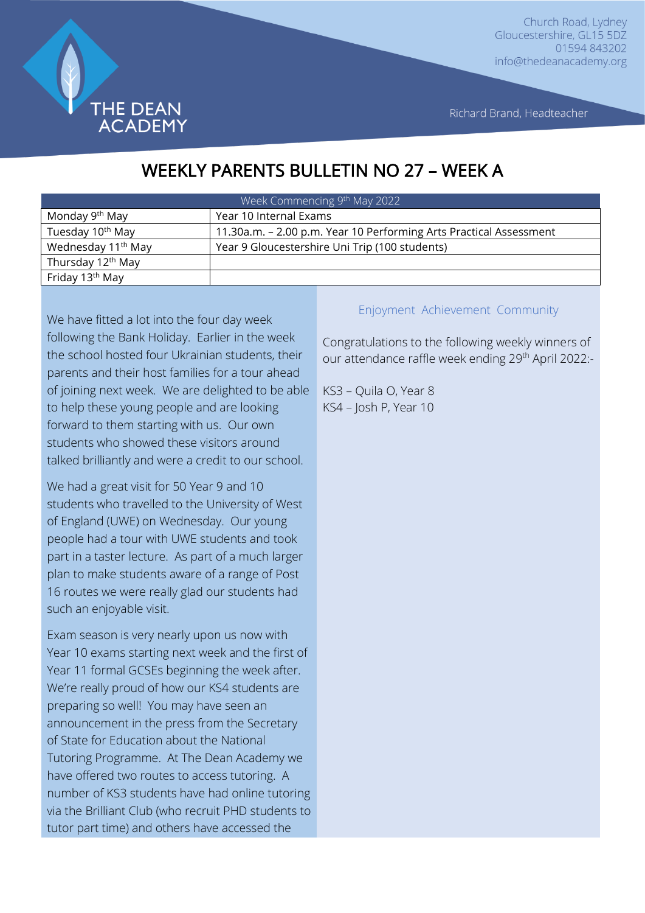

Richard Brand, Headteacher

### WEEKLY PARENTS BULLETIN NO 27 – WEEK A

| Week Commencing 9 <sup>th</sup> May 2022 |                                                                    |
|------------------------------------------|--------------------------------------------------------------------|
| Monday 9 <sup>th</sup> May               | Year 10 Internal Exams                                             |
| Tuesday 10 <sup>th</sup> May             | 11.30a.m. - 2.00 p.m. Year 10 Performing Arts Practical Assessment |
| Wednesday 11 <sup>th</sup> May           | Year 9 Gloucestershire Uni Trip (100 students)                     |
| Thursday 12 <sup>th</sup> May            |                                                                    |
| Friday 13 <sup>th</sup> May              |                                                                    |

We have fitted a lot into the four day week following the Bank Holiday. Earlier in the week the school hosted four Ukrainian students, their parents and their host families for a tour ahead of joining next week. We are delighted to be able to help these young people and are looking forward to them starting with us. Our own students who showed these visitors around talked brilliantly and were a credit to our school.

We had a great visit for 50 Year 9 and 10 students who travelled to the University of West of England (UWE) on Wednesday. Our young people had a tour with UWE students and took part in a taster lecture. As part of a much larger plan to make students aware of a range of Post 16 routes we were really glad our students had such an enjoyable visit.

Exam season is very nearly upon us now with Year 10 exams starting next week and the first of Year 11 formal GCSEs beginning the week after. We're really proud of how our KS4 students are preparing so well! You may have seen an announcement in the press from the Secretary of State for Education about the National Tutoring Programme. At The Dean Academy we have offered two routes to access tutoring. A number of KS3 students have had online tutoring via the Brilliant Club (who recruit PHD students to tutor part time) and others have accessed the

#### Enjoyment Achievement Community

Congratulations to the following weekly winners of our attendance raffle week ending 29<sup>th</sup> April 2022:-

KS3 – Quila O, Year 8 KS4 – Josh P, Year 10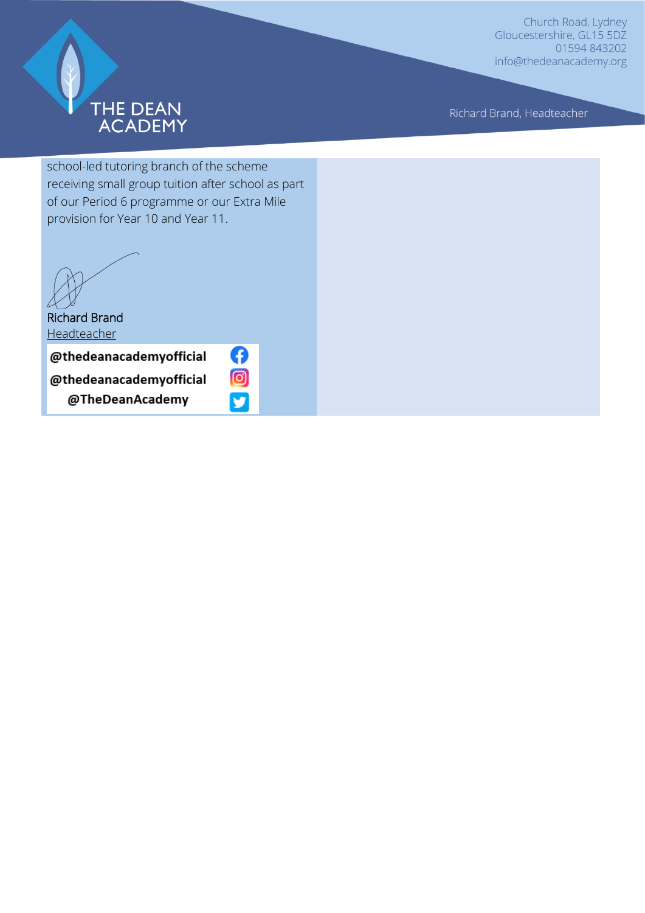

Richard Brand, Headteacher

school-led tutoring branch of the scheme receiving small group tuition after school as part of our Period 6 programme or our Extra Mile provision for Year 10 and Year 11.

Richard Brand **Headteacher** 

@thedeanacademyofficial

@thedeanacademyofficial

@TheDeanAcademy

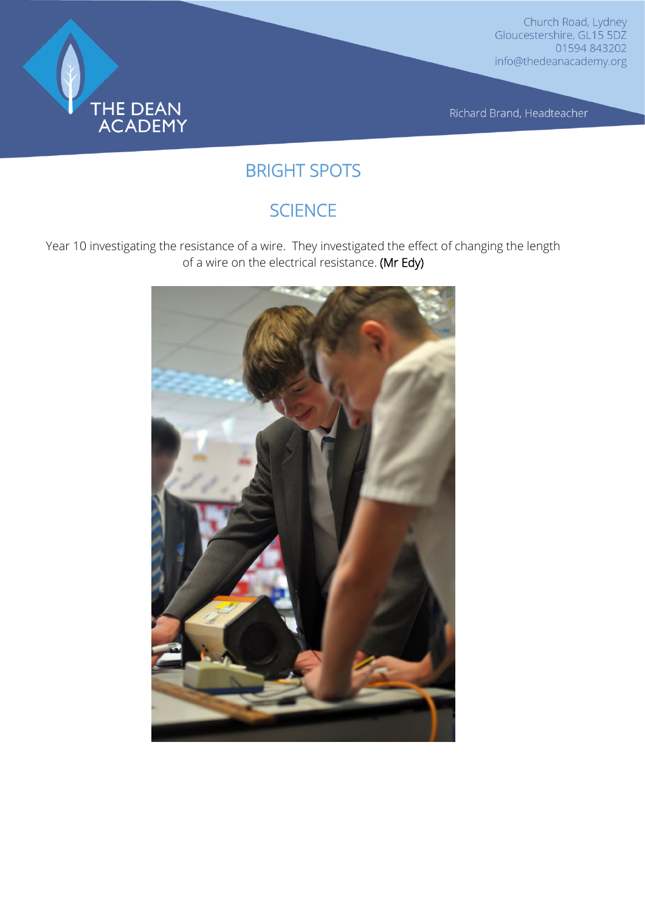

Richard Brand, Headteacher

# BRIGHT SPOTS

# **SCIENCE**

Year 10 investigating the resistance of a wire. They investigated the effect of changing the length of a wire on the electrical resistance. (Mr Edy)

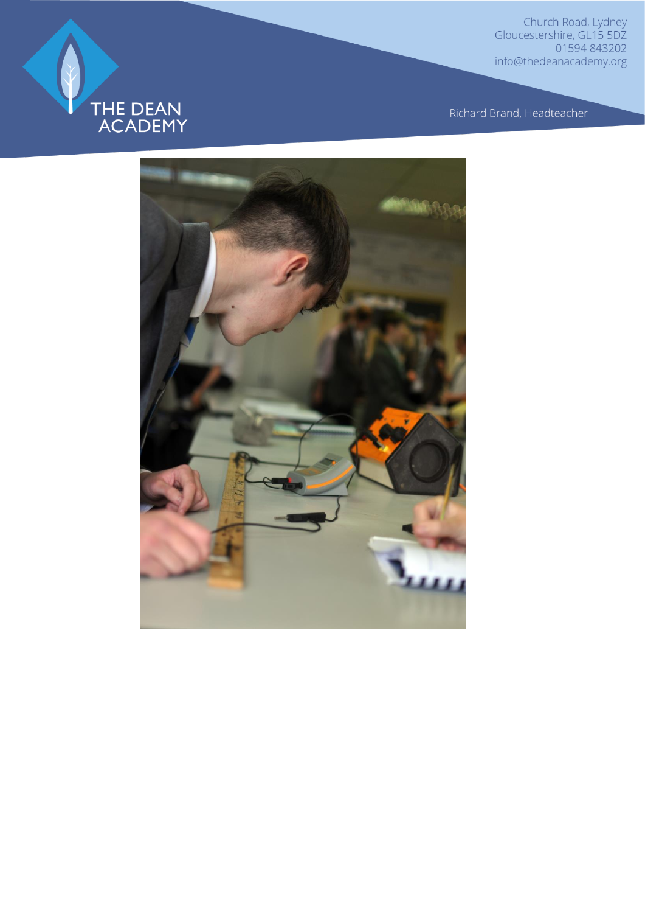

Richard Brand, Headteacher

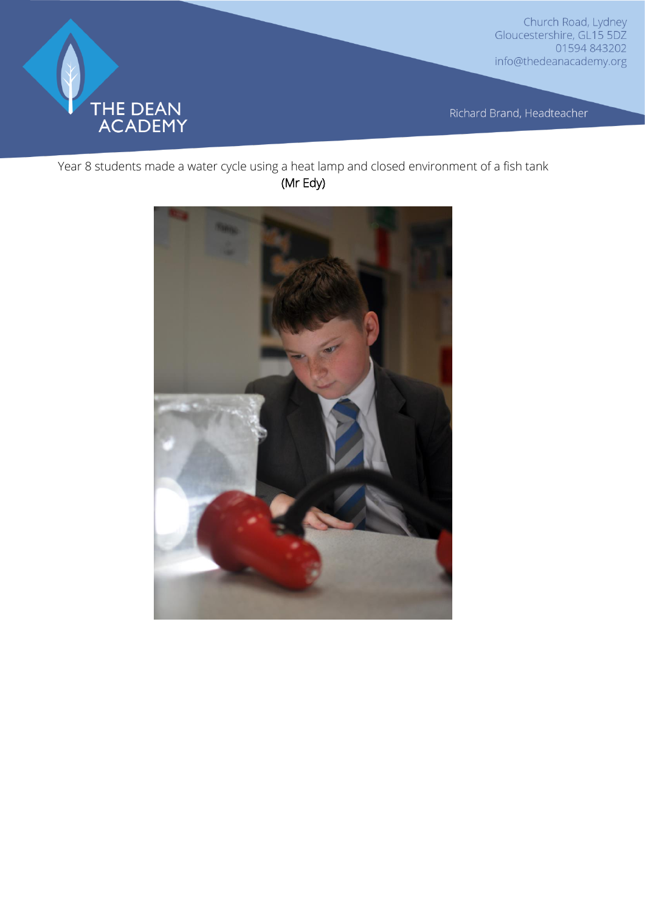

Richard Brand, Headteacher

#### Year 8 students made a water cycle using a heat lamp and closed environment of a fish tank (Mr Edy)

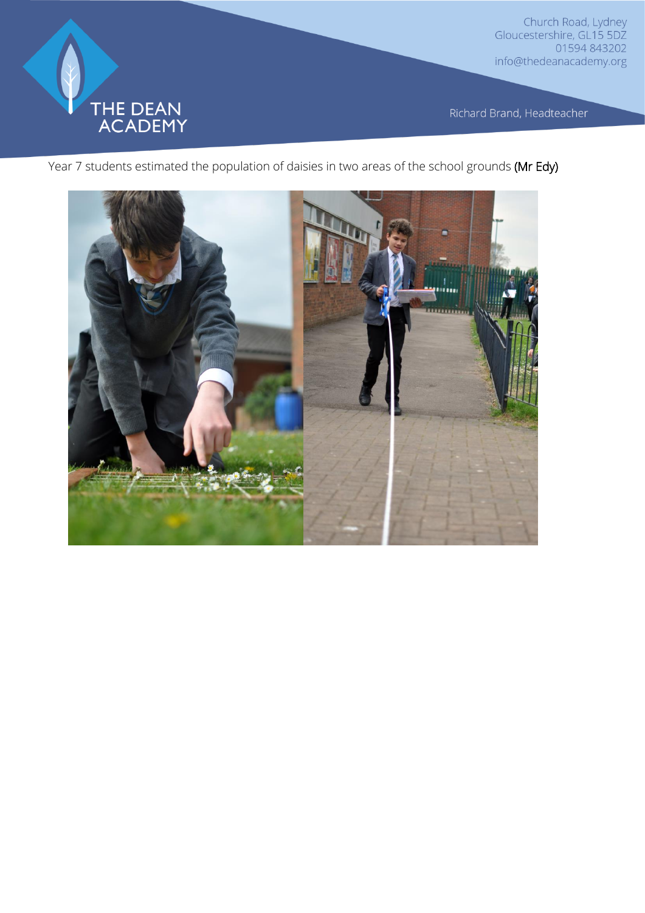

Richard Brand, Headteacher

Year 7 students estimated the population of daisies in two areas of the school grounds (Mr Edy)

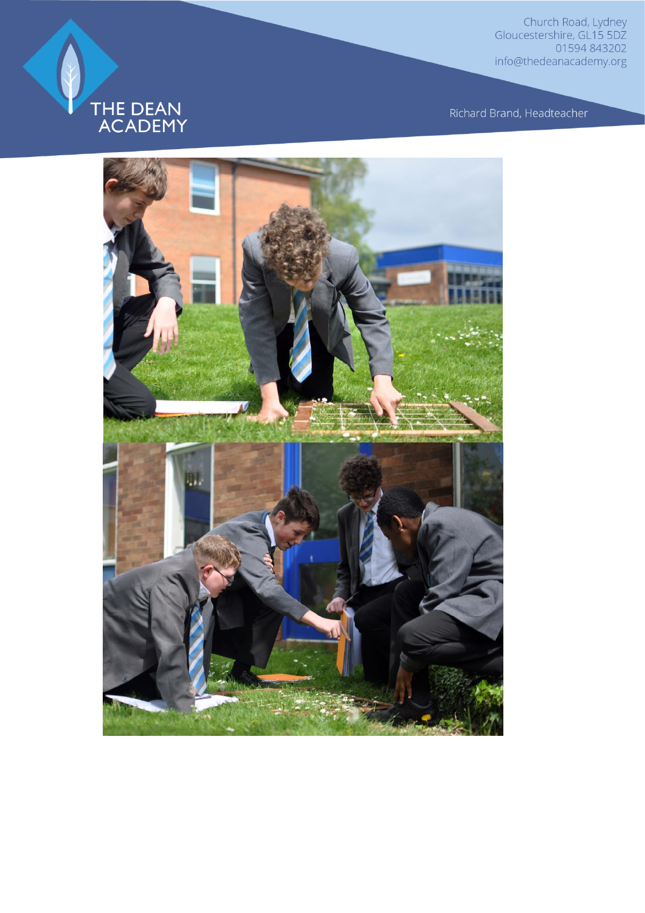

Richard Brand, Headteacher

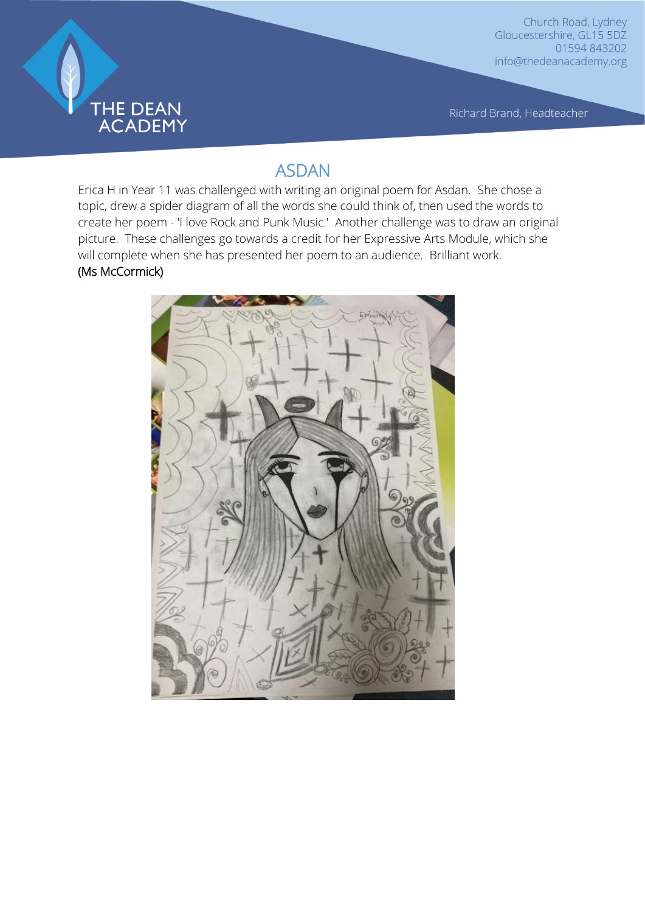

Richard Brand, Headteacher

#### ASDAN

Erica H in Year 11 was challenged with writing an original poem for Asdan. She chose a topic, drew a spider diagram of all the words she could think of, then used the words to create her poem - 'I love Rock and Punk Music.' Another challenge was to draw an original picture. These challenges go towards a credit for her Expressive Arts Module, which she will complete when she has presented her poem to an audience. Brilliant work. (Ms McCormick)